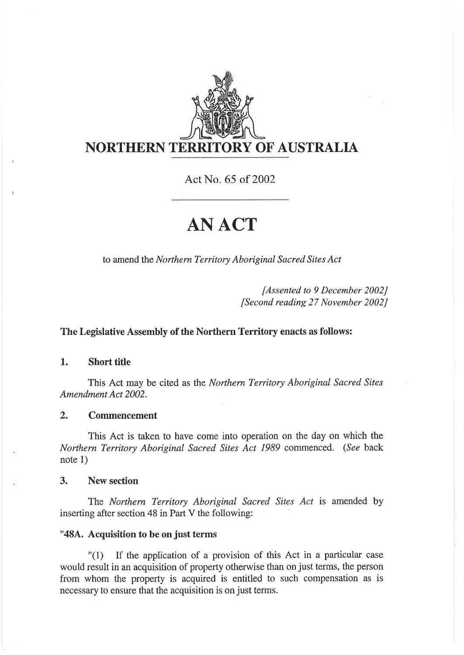

Act No. 65 of 2002

# ANACT

to amend the Northern Territory Aboriginal Sacred Sites Act

fAssented to 9 December 2002J [Second reading 27 November 2002J

### The Legislative Assembly of the Northern Territory enacts as follows:

1. Short title

This Act may be cited as the Northern Territory Aboriginal Sacred Sites Amendment Act 2002.

#### 2. Commencement

This Act is taken to have come into operation on the day on which the Northern Territory Aboriginal Sacred Sites Act 1989 commenced. (See back note 1)

3. New section

The Northem Territory Aboriginal Sacred Sites Act is amended by inserting after section 48 in Part V the following:

#### "484. Acquisition to be on just terms

"(1) If the application of a provision of this Act in a particular case would result in an acquisition of property otherwise than on just terms, the person from whom the property is acquired is entitled to such compensation as is necessary to ensure that the acquisition is on just terms.